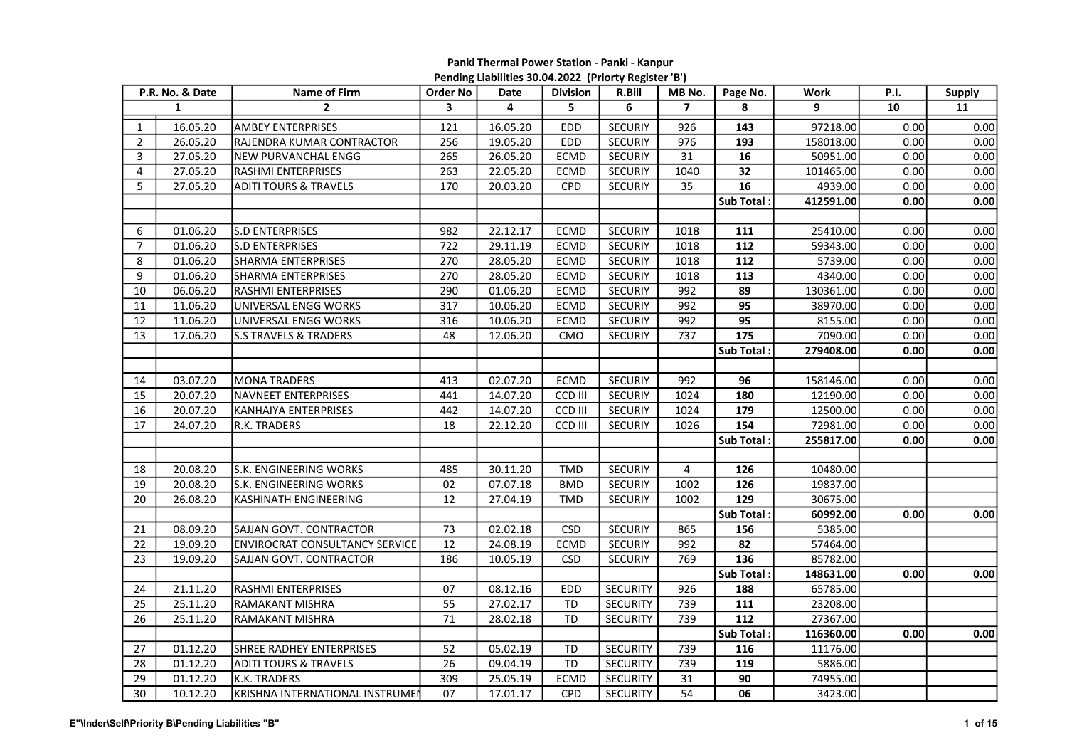## Panki Thermal Power Station - Panki - Kanpur Pending Liabilities 30.04.2022 (Priorty Register 'B')

| P.R. No. & Date |              | Name of Firm                          | Order No                | Date     | <b>Division</b> | R.Bill          | MB No.                  | Page No.         | Work      | <b>P.I.</b> | <b>Supply</b> |
|-----------------|--------------|---------------------------------------|-------------------------|----------|-----------------|-----------------|-------------------------|------------------|-----------|-------------|---------------|
|                 | $\mathbf{1}$ | $\overline{2}$                        | $\overline{\mathbf{3}}$ | 4        | 5               | 6               | $\overline{7}$          | 8                | 9         | 10          | 11            |
| $\mathbf{1}$    | 16.05.20     | <b>AMBEY ENTERPRISES</b>              | 121                     | 16.05.20 | <b>EDD</b>      | <b>SECURIY</b>  | 926                     | 143              | 97218.00  | 0.00        | 0.00          |
| $\overline{2}$  | 26.05.20     | RAJENDRA KUMAR CONTRACTOR             | 256                     | 19.05.20 | EDD             | <b>SECURIY</b>  | 976                     | 193              | 158018.00 | 0.00        | 0.00          |
| 3               | 27.05.20     | NEW PURVANCHAL ENGG                   | 265                     | 26.05.20 | ECMD            | <b>SECURIY</b>  | 31                      | 16               | 50951.00  | 0.00        | 0.00          |
| 4               | 27.05.20     | RASHMI ENTERPRISES                    | 263                     | 22.05.20 | <b>ECMD</b>     | <b>SECURIY</b>  | 1040                    | 32               | 101465.00 | 0.00        | 0.00          |
| 5               | 27.05.20     | <b>ADITI TOURS &amp; TRAVELS</b>      | 170                     | 20.03.20 | CPD             | <b>SECURIY</b>  | 35                      | 16               | 4939.00   | 0.00        | 0.00          |
|                 |              |                                       |                         |          |                 |                 |                         | Sub Total:       | 412591.00 | 0.00        | 0.00          |
|                 |              |                                       |                         |          |                 |                 |                         |                  |           |             |               |
| 6               | 01.06.20     | S.D ENTERPRISES                       | 982                     | 22.12.17 | ECMD            | <b>SECURIY</b>  | 1018                    | 111              | 25410.00  | 0.00        | 0.00          |
| $\overline{7}$  | 01.06.20     | S.D ENTERPRISES                       | 722                     | 29.11.19 | ECMD            | <b>SECURIY</b>  | 1018                    | 112              | 59343.00  | 0.00        | 0.00          |
| 8               | 01.06.20     | SHARMA ENTERPRISES                    | 270                     | 28.05.20 | <b>ECMD</b>     | <b>SECURIY</b>  | 1018                    | 112              | 5739.00   | 0.00        | 0.00          |
| 9               | 01.06.20     | SHARMA ENTERPRISES                    | 270                     | 28.05.20 | <b>ECMD</b>     | SECURIY         | 1018                    | 113              | 4340.00   | 0.00        | 0.00          |
| 10              | 06.06.20     | RASHMI ENTERPRISES                    | 290                     | 01.06.20 | <b>ECMD</b>     | <b>SECURIY</b>  | 992                     | 89               | 130361.00 | 0.00        | 0.00          |
| 11              | 11.06.20     | UNIVERSAL ENGG WORKS                  | 317                     | 10.06.20 | ECMD            | SECURIY         | 992                     | 95               | 38970.00  | 0.00        | 0.00          |
| 12              | 11.06.20     | UNIVERSAL ENGG WORKS                  | 316                     | 10.06.20 | <b>ECMD</b>     | <b>SECURIY</b>  | 992                     | $\overline{95}$  | 8155.00   | 0.00        | 0.00          |
| 13              | 17.06.20     | <b>S.S TRAVELS &amp; TRADERS</b>      | 48                      | 12.06.20 | <b>CMO</b>      | <b>SECURIY</b>  | 737                     | 175              | 7090.00   | 0.00        | 0.00          |
|                 |              |                                       |                         |          |                 |                 |                         | Sub Total:       | 279408.00 | 0.00        | 0.00          |
|                 |              |                                       |                         |          |                 |                 |                         |                  |           |             |               |
| 14              | 03.07.20     | MONA TRADERS                          | 413                     | 02.07.20 | ECMD            | SECURIY         | 992                     | 96               | 158146.00 | 0.00        | 0.00          |
| 15              | 20.07.20     | NAVNEET ENTERPRISES                   | 441                     | 14.07.20 | CCD III         | <b>SECURIY</b>  | 1024                    | 180              | 12190.00  | 0.00        | 0.00          |
| 16              | 20.07.20     | KANHAIYA ENTERPRISES                  | 442                     | 14.07.20 | CCD III         | <b>SECURIY</b>  | 1024                    | 179              | 12500.00  | 0.00        | 0.00          |
| 17              | 24.07.20     | R.K. TRADERS                          | 18                      | 22.12.20 | CCD III         | <b>SECURIY</b>  | 1026                    | 154              | 72981.00  | 0.00        | 0.00          |
|                 |              |                                       |                         |          |                 |                 |                         | Sub Total:       | 255817.00 | 0.00        | 0.00          |
|                 |              |                                       |                         |          |                 |                 |                         |                  |           |             |               |
| 18              | 20.08.20     | S.K. ENGINEERING WORKS                | 485                     | 30.11.20 | TMD             | <b>SECURIY</b>  | $\overline{\mathbf{4}}$ | 126              | 10480.00  |             |               |
| 19              | 20.08.20     | S.K. ENGINEERING WORKS                | 02                      | 07.07.18 | <b>BMD</b>      | <b>SECURIY</b>  | 1002                    | 126              | 19837.00  |             |               |
| 20              | 26.08.20     | KASHINATH ENGINEERING                 | 12                      | 27.04.19 | TMD             | <b>SECURIY</b>  | 1002                    | 129              | 30675.00  |             |               |
|                 |              |                                       |                         |          |                 |                 |                         | Sub Total:       | 60992.00  | 0.00        | 0.00          |
| 21              | 08.09.20     | SAJJAN GOVT. CONTRACTOR               | 73                      | 02.02.18 | <b>CSD</b>      | SECURIY         | 865                     | 156              | 5385.00   |             |               |
| 22              | 19.09.20     | <b>ENVIROCRAT CONSULTANCY SERVICE</b> | 12                      | 24.08.19 | ECMD            | <b>SECURIY</b>  | 992                     | 82               | 57464.00  |             |               |
| 23              | 19.09.20     | SAJJAN GOVT. CONTRACTOR               | 186                     | 10.05.19 | <b>CSD</b>      | SECURIY         | 769                     | 136              | 85782.00  |             |               |
|                 |              |                                       |                         |          |                 |                 |                         | Sub Total:       | 148631.00 | 0.00        | 0.00          |
| 24              | 21.11.20     | RASHMI ENTERPRISES                    | 07                      | 08.12.16 | EDD             | <b>SECURITY</b> | 926                     | 188              | 65785.00  |             |               |
| 25              | 25.11.20     | RAMAKANT MISHRA                       | 55                      | 27.02.17 | <b>TD</b>       | <b>SECURITY</b> | 739                     | $\overline{111}$ | 23208.00  |             |               |
| 26              | 25.11.20     | RAMAKANT MISHRA                       | 71                      | 28.02.18 | TD              | <b>SECURITY</b> | 739                     | 112              | 27367.00  |             |               |
|                 |              |                                       |                         |          |                 |                 |                         | Sub Total:       | 116360.00 | 0.00        | 0.00          |
| 27              | 01.12.20     | SHREE RADHEY ENTERPRISES              | 52                      | 05.02.19 | TD              | <b>SECURITY</b> | 739                     | 116              | 11176.00  |             |               |
| 28              | 01.12.20     | <b>ADITI TOURS &amp; TRAVELS</b>      | 26                      | 09.04.19 | <b>TD</b>       | <b>SECURITY</b> | 739                     | 119              | 5886.00   |             |               |
| 29              | 01.12.20     | K.K. TRADERS                          | 309                     | 25.05.19 | <b>ECMD</b>     | <b>SECURITY</b> | 31                      | 90               | 74955.00  |             |               |
| 30              | 10.12.20     | KRISHNA INTERNATIONAL INSTRUMEI       | 07                      | 17.01.17 | CPD             | <b>SECURITY</b> | 54                      | 06               | 3423.00   |             |               |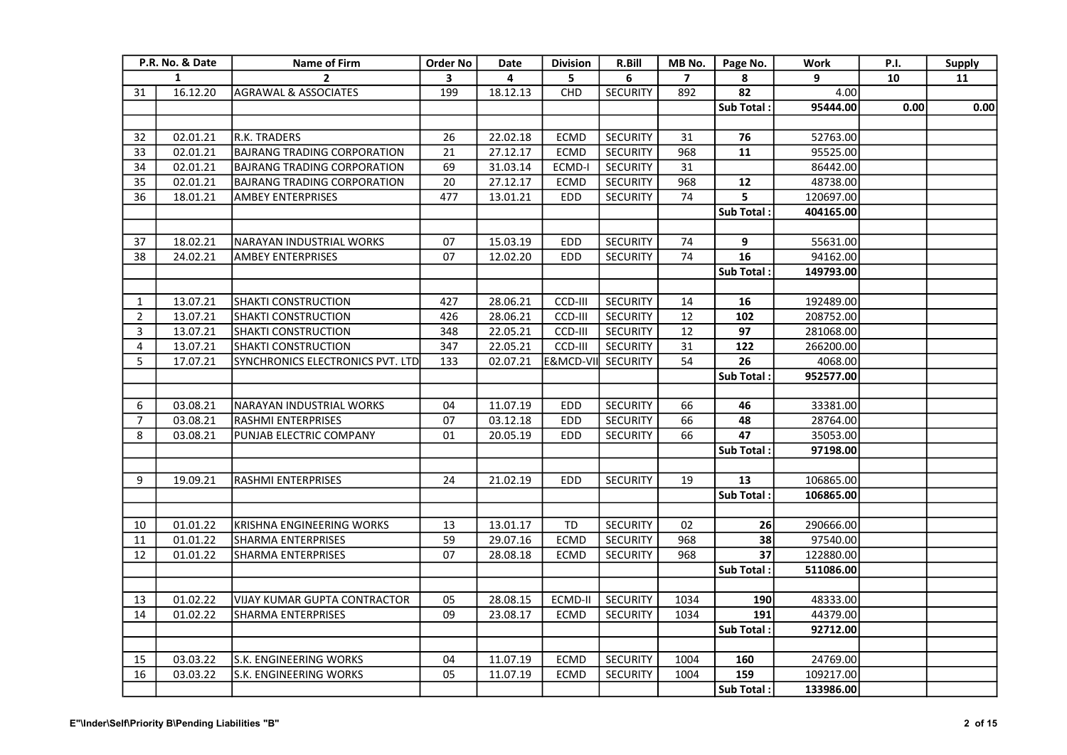| P.R. No. & Date |          | Name of Firm                        | <b>Order No</b> | Date     | <b>Division</b> | R.Bill          | MB No.         | Page No.         | Work      | <b>P.I.</b> | <b>Supply</b> |
|-----------------|----------|-------------------------------------|-----------------|----------|-----------------|-----------------|----------------|------------------|-----------|-------------|---------------|
| $\mathbf{1}$    |          | $\overline{2}$                      | 3               | 4        | 5               | 6               | $\overline{7}$ | 8                | 9         | 10          | 11            |
| 31              | 16.12.20 | <b>AGRAWAL &amp; ASSOCIATES</b>     | 199             | 18.12.13 | CHD             | <b>SECURITY</b> | 892            | 82               | 4.00      |             |               |
|                 |          |                                     |                 |          |                 |                 |                | Sub Total:       | 95444.00  | 0.00        | 0.00          |
|                 |          |                                     |                 |          |                 |                 |                |                  |           |             |               |
| 32              | 02.01.21 | R.K. TRADERS                        | 26              | 22.02.18 | ECMD            | <b>SECURITY</b> | 31             | 76               | 52763.00  |             |               |
| 33              | 02.01.21 | <b>BAJRANG TRADING CORPORATION</b>  | 21              | 27.12.17 | ECMD            | <b>SECURITY</b> | 968            | 11               | 95525.00  |             |               |
| 34              | 02.01.21 | <b>BAJRANG TRADING CORPORATION</b>  | 69              | 31.03.14 | ECMD-I          | <b>SECURITY</b> | 31             |                  | 86442.00  |             |               |
| 35              | 02.01.21 | <b>BAJRANG TRADING CORPORATION</b>  | $\overline{20}$ | 27.12.17 | <b>ECMD</b>     | <b>SECURITY</b> | 968            | $12$             | 48738.00  |             |               |
| 36              | 18.01.21 | <b>AMBEY ENTERPRISES</b>            | 477             | 13.01.21 | EDD             | <b>SECURITY</b> | 74             | 5                | 120697.00 |             |               |
|                 |          |                                     |                 |          |                 |                 |                | Sub Total:       | 404165.00 |             |               |
|                 |          |                                     |                 |          |                 |                 |                |                  |           |             |               |
| 37              | 18.02.21 | NARAYAN INDUSTRIAL WORKS            | 07              | 15.03.19 | EDD             | <b>SECURITY</b> | 74             | 9                | 55631.00  |             |               |
| 38              | 24.02.21 | <b>AMBEY ENTERPRISES</b>            | 07              | 12.02.20 | EDD             | <b>SECURITY</b> | 74             | 16               | 94162.00  |             |               |
|                 |          |                                     |                 |          |                 |                 |                | Sub Total:       | 149793.00 |             |               |
|                 |          |                                     |                 |          |                 |                 |                |                  |           |             |               |
| 1               | 13.07.21 | <b>SHAKTI CONSTRUCTION</b>          | 427             | 28.06.21 | CCD-III         | <b>SECURITY</b> | 14             | 16               | 192489.00 |             |               |
| $\mathbf 2$     | 13.07.21 | SHAKTI CONSTRUCTION                 | 426             | 28.06.21 | CCD-III         | <b>SECURITY</b> | 12             | 102              | 208752.00 |             |               |
| 3               | 13.07.21 | <b>SHAKTI CONSTRUCTION</b>          | 348             | 22.05.21 | CCD-III         | <b>SECURITY</b> | 12             | 97               | 281068.00 |             |               |
| 4               | 13.07.21 | SHAKTI CONSTRUCTION                 | 347             | 22.05.21 | CCD-III         | <b>SECURITY</b> | 31             | 122              | 266200.00 |             |               |
| 5               | 17.07.21 | SYNCHRONICS ELECTRONICS PVT. LTD    | 133             | 02.07.21 | E&MCD-VII       | <b>SECURITY</b> | 54             | 26               | 4068.00   |             |               |
|                 |          |                                     |                 |          |                 |                 |                | Sub Total:       | 952577.00 |             |               |
|                 |          |                                     |                 |          |                 |                 |                |                  |           |             |               |
| 6               | 03.08.21 | NARAYAN INDUSTRIAL WORKS            | 04              | 11.07.19 | <b>EDD</b>      | <b>SECURITY</b> | 66             | 46               | 33381.00  |             |               |
| $\overline{7}$  | 03.08.21 | RASHMI ENTERPRISES                  | 07              | 03.12.18 | EDD             | <b>SECURITY</b> | 66             | 48               | 28764.00  |             |               |
| 8               | 03.08.21 | PUNJAB ELECTRIC COMPANY             | 01              | 20.05.19 | <b>EDD</b>      | <b>SECURITY</b> | 66             | 47               | 35053.00  |             |               |
|                 |          |                                     |                 |          |                 |                 |                | Sub Total:       | 97198.00  |             |               |
|                 |          |                                     |                 |          |                 |                 |                |                  |           |             |               |
| 9               | 19.09.21 | RASHMI ENTERPRISES                  | 24              | 21.02.19 | EDD             | <b>SECURITY</b> | 19             | 13               | 106865.00 |             |               |
|                 |          |                                     |                 |          |                 |                 |                | <b>Sub Total</b> | 106865.00 |             |               |
|                 |          |                                     |                 |          |                 |                 |                |                  |           |             |               |
| 10              | 01.01.22 | KRISHNA ENGINEERING WORKS           | 13              | 13.01.17 | <b>TD</b>       | <b>SECURITY</b> | 02             | 26               | 290666.00 |             |               |
| 11              | 01.01.22 | SHARMA ENTERPRISES                  | 59              | 29.07.16 | <b>ECMD</b>     | <b>SECURITY</b> | 968            | 38               | 97540.00  |             |               |
| 12              | 01.01.22 | <b>SHARMA ENTERPRISES</b>           | 07              | 28.08.18 | <b>ECMD</b>     | <b>SECURITY</b> | 968            | 37               | 122880.00 |             |               |
|                 |          |                                     |                 |          |                 |                 |                | Sub Total:       | 511086.00 |             |               |
|                 |          |                                     |                 |          |                 |                 |                |                  |           |             |               |
| 13              | 01.02.22 | <b>VIJAY KUMAR GUPTA CONTRACTOR</b> | 05              | 28.08.15 | ECMD-II         | SECURITY        | 1034           | 190              | 48333.00  |             |               |
| 14              | 01.02.22 | <b>SHARMA ENTERPRISES</b>           | 09              | 23.08.17 | <b>ECMD</b>     | <b>SECURITY</b> | 1034           | 191              | 44379.00  |             |               |
|                 |          |                                     |                 |          |                 |                 |                | Sub Total:       | 92712.00  |             |               |
|                 |          |                                     |                 |          |                 |                 |                |                  |           |             |               |
| 15              | 03.03.22 | S.K. ENGINEERING WORKS              | 04              | 11.07.19 | ECMD            | SECURITY        | 1004           | 160              | 24769.00  |             |               |
| 16              | 03.03.22 | S.K. ENGINEERING WORKS              | 05              | 11.07.19 | <b>ECMD</b>     | <b>SECURITY</b> | 1004           | 159              | 109217.00 |             |               |
|                 |          |                                     |                 |          |                 |                 |                | Sub Total:       | 133986.00 |             |               |